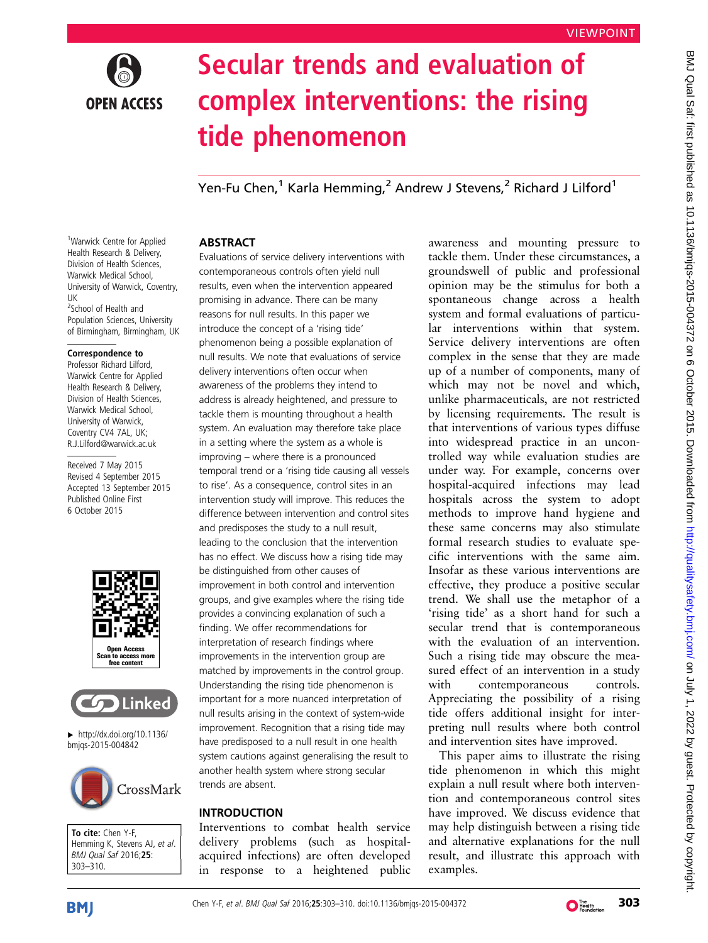

# Secular trends and evaluation of complex interventions: the rising tide phenomenon

Yen-Fu Chen,<sup>1</sup> Karla Hemming,<sup>2</sup> Andrew J Stevens,<sup>2</sup> Richard J Lilford<sup>1</sup>

# **ABSTRACT**

Evaluations of service delivery interventions with contemporaneous controls often yield null results, even when the intervention appeared promising in advance. There can be many reasons for null results. In this paper we introduce the concept of a 'rising tide' phenomenon being a possible explanation of null results. We note that evaluations of service delivery interventions often occur when awareness of the problems they intend to address is already heightened, and pressure to tackle them is mounting throughout a health system. An evaluation may therefore take place in a setting where the system as a whole is improving – where there is a pronounced temporal trend or a 'rising tide causing all vessels to rise'. As a consequence, control sites in an intervention study will improve. This reduces the difference between intervention and control sites and predisposes the study to a null result, leading to the conclusion that the intervention has no effect. We discuss how a rising tide may be distinguished from other causes of improvement in both control and intervention groups, and give examples where the rising tide provides a convincing explanation of such a finding. We offer recommendations for interpretation of research findings where improvements in the intervention group are matched by improvements in the control group. Understanding the rising tide phenomenon is important for a more nuanced interpretation of null results arising in the context of system-wide improvement. Recognition that a rising tide may have predisposed to a null result in one health system cautions against generalising the result to another health system where strong secular trends are absent.

## INTRODUCTION

Interventions to combat health service delivery problems (such as hospitalacquired infections) are often developed in response to a heightened public

awareness and mounting pressure to tackle them. Under these circumstances, a groundswell of public and professional opinion may be the stimulus for both a spontaneous change across a health system and formal evaluations of particular interventions within that system. Service delivery interventions are often complex in the sense that they are made up of a number of components, many of which may not be novel and which, unlike pharmaceuticals, are not restricted by licensing requirements. The result is that interventions of various types diffuse into widespread practice in an uncontrolled way while evaluation studies are under way. For example, concerns over hospital-acquired infections may lead hospitals across the system to adopt methods to improve hand hygiene and these same concerns may also stimulate formal research studies to evaluate specific interventions with the same aim. Insofar as these various interventions are effective, they produce a positive secular trend. We shall use the metaphor of a 'rising tide' as a short hand for such a secular trend that is contemporaneous with the evaluation of an intervention. Such a rising tide may obscure the measured effect of an intervention in a study with contemporaneous controls. Appreciating the possibility of a rising tide offers additional insight for interpreting null results where both control and intervention sites have improved.

This paper aims to illustrate the rising tide phenomenon in which this might explain a null result where both intervention and contemporaneous control sites have improved. We discuss evidence that may help distinguish between a rising tide and alternative explanations for the null result, and illustrate this approach with examples.

<sup>1</sup>Warwick Centre for Applied Health Research & Delivery, Division of Health Sciences, Warwick Medical School, University of Warwick, Coventry, UK <sup>2</sup>School of Health and

Population Sciences, University of Birmingham, Birmingham, UK

#### Correspondence to

Professor Richard Lilford, Warwick Centre for Applied Health Research & Delivery, Division of Health Sciences, Warwick Medical School, University of Warwick, Coventry CV4 7AL, UK; R.J.Lilford@warwick.ac.uk

Received 7 May 2015 Revised 4 September 2015 Accepted 13 September 2015 Published Online First 6 October 2015





▸ [http://dx.doi.org/10.1136/](http://dx.doi.org/10.1136/bmjqs-2015-004842) [bmjqs-2015-004842](http://dx.doi.org/10.1136/bmjqs-2015-004842)



To cite: Chen Y-F, Hemming K, Stevens AJ, et al. BMJ Qual Saf 2016;25: 303–310.

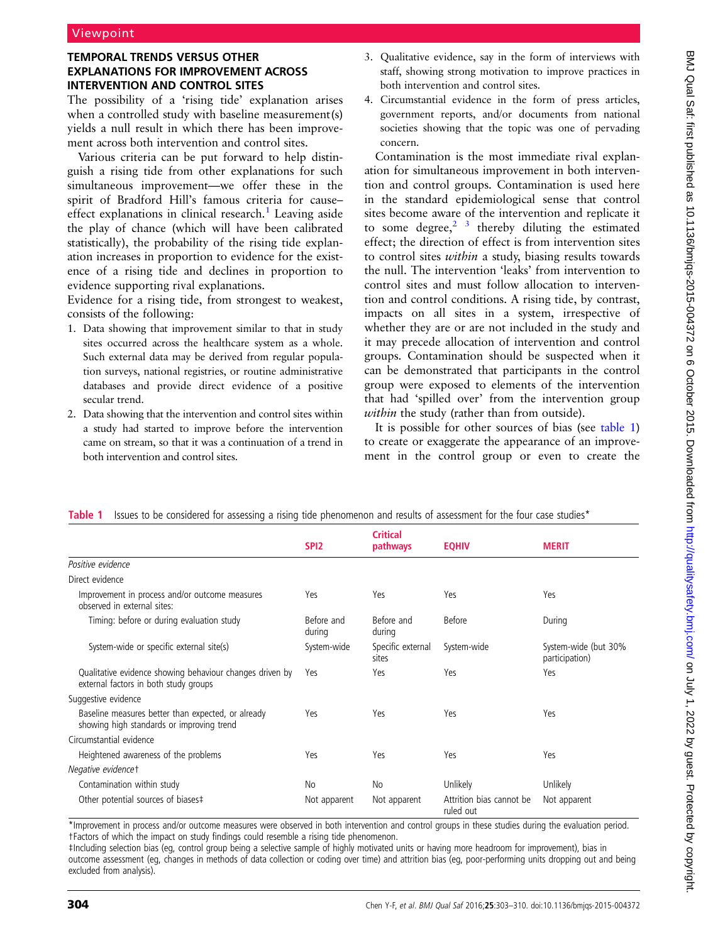#### <span id="page-1-0"></span>TEMPORAL TRENDS VERSUS OTHER EXPLANATIONS FOR IMPROVEMENT ACROSS INTERVENTION AND CONTROL SITES

The possibility of a 'rising tide' explanation arises when a controlled study with baseline measurement(s) yields a null result in which there has been improvement across both intervention and control sites.

Various criteria can be put forward to help distinguish a rising tide from other explanations for such simultaneous improvement—we offer these in the spirit of Bradford Hill's famous criteria for cause– effect explanations in clinical research.<sup>[1](#page-6-0)</sup> Leaving aside the play of chance (which will have been calibrated statistically), the probability of the rising tide explanation increases in proportion to evidence for the existence of a rising tide and declines in proportion to evidence supporting rival explanations.

Evidence for a rising tide, from strongest to weakest, consists of the following:

- 1. Data showing that improvement similar to that in study sites occurred across the healthcare system as a whole. Such external data may be derived from regular population surveys, national registries, or routine administrative databases and provide direct evidence of a positive secular trend.
- 2. Data showing that the intervention and control sites within a study had started to improve before the intervention came on stream, so that it was a continuation of a trend in both intervention and control sites.
- 3. Qualitative evidence, say in the form of interviews with staff, showing strong motivation to improve practices in both intervention and control sites.
- 4. Circumstantial evidence in the form of press articles, government reports, and/or documents from national societies showing that the topic was one of pervading concern.

Contamination is the most immediate rival explanation for simultaneous improvement in both intervention and control groups. Contamination is used here in the standard epidemiological sense that control sites become aware of the intervention and replicate it to some degree, $2^{3}$  thereby diluting the estimated effect; the direction of effect is from intervention sites to control sites within a study, biasing results towards the null. The intervention 'leaks' from intervention to control sites and must follow allocation to intervention and control conditions. A rising tide, by contrast, impacts on all sites in a system, irrespective of whether they are or are not included in the study and it may precede allocation of intervention and control groups. Contamination should be suspected when it can be demonstrated that participants in the control group were exposed to elements of the intervention that had 'spilled over' from the intervention group within the study (rather than from outside).

It is possible for other sources of bias (see table 1) to create or exaggerate the appearance of an improvement in the control group or even to create the

|                                                                                                   | SPI <sub>2</sub>     | <b>Critical</b><br>pathways | <b>EQHIV</b>                          | <b>MERIT</b>                           |
|---------------------------------------------------------------------------------------------------|----------------------|-----------------------------|---------------------------------------|----------------------------------------|
| Positive evidence                                                                                 |                      |                             |                                       |                                        |
| Direct evidence                                                                                   |                      |                             |                                       |                                        |
| Improvement in process and/or outcome measures<br>observed in external sites:                     | Yes                  | Yes                         | Yes                                   | Yes                                    |
| Timing: before or during evaluation study                                                         | Before and<br>during | Before and<br>during        | <b>Before</b>                         | During                                 |
| System-wide or specific external site(s)                                                          | System-wide          | Specific external<br>sites  | System-wide                           | System-wide (but 30%<br>participation) |
| Qualitative evidence showing behaviour changes driven by<br>external factors in both study groups | Yes                  | Yes                         | Yes                                   | Yes                                    |
| Suggestive evidence                                                                               |                      |                             |                                       |                                        |
| Baseline measures better than expected, or already<br>showing high standards or improving trend   | Yes                  | Yes                         | Yes                                   | Yes                                    |
| Circumstantial evidence                                                                           |                      |                             |                                       |                                        |
| Heightened awareness of the problems                                                              | Yes                  | Yes                         | Yes                                   | Yes                                    |
| Negative evidencet                                                                                |                      |                             |                                       |                                        |
| Contamination within study                                                                        | No                   | <b>No</b>                   | Unlikely                              | Unlikely                               |
| Other potential sources of biases‡                                                                | Not apparent         | Not apparent                | Attrition bias cannot be<br>ruled out | Not apparent                           |

Table 1 Issues to be considered for assessing a rising tide phenomenon and results of assessment for the four case studies\*

\*Improvement in process and/or outcome measures were observed in both intervention and control groups in these studies during the evaluation period. †Factors of which the impact on study findings could resemble a rising tide phenomenon.

‡Including selection bias (eg, control group being a selective sample of highly motivated units or having more headroom for improvement), bias in outcome assessment (eg, changes in methods of data collection or coding over time) and attrition bias (eg, poor-performing units dropping out and being excluded from analysis).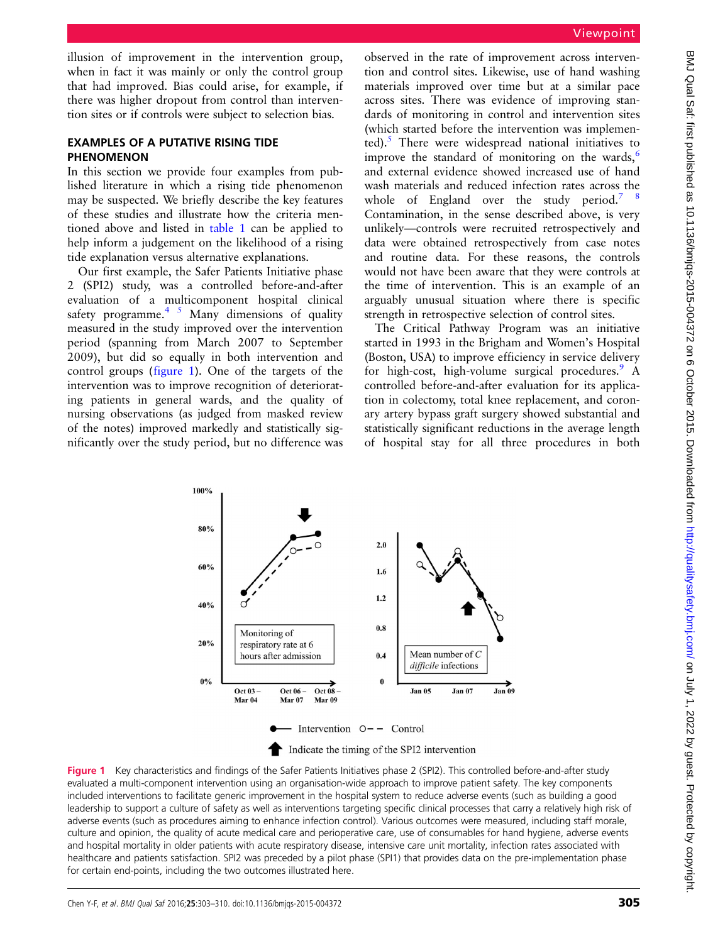illusion of improvement in the intervention group, when in fact it was mainly or only the control group that had improved. Bias could arise, for example, if there was higher dropout from control than intervention sites or if controls were subject to selection bias.

#### EXAMPLES OF A PUTATIVE RISING TIDE PHENOMENON

In this section we provide four examples from published literature in which a rising tide phenomenon may be suspected. We briefly describe the key features of these studies and illustrate how the criteria mentioned above and listed in [table 1](#page-1-0) can be applied to help inform a judgement on the likelihood of a rising tide explanation versus alternative explanations.

Our first example, the Safer Patients Initiative phase 2 (SPI2) study, was a controlled before-and-after evaluation of a multicomponent hospital clinical safety programme. $45$  Many dimensions of quality measured in the study improved over the intervention period (spanning from March 2007 to September 2009), but did so equally in both intervention and control groups (figure 1). One of the targets of the intervention was to improve recognition of deteriorating patients in general wards, and the quality of nursing observations (as judged from masked review of the notes) improved markedly and statistically significantly over the study period, but no difference was

observed in the rate of improvement across intervention and control sites. Likewise, use of hand washing materials improved over time but at a similar pace across sites. There was evidence of improving standards of monitoring in control and intervention sites (which started before the intervention was implemented). $\frac{5}{1}$  $\frac{5}{1}$  $\frac{5}{1}$  There were widespread national initiatives to improve the standard of monitoring on the wards, $\frac{6}{10}$  $\frac{6}{10}$  $\frac{6}{10}$ and external evidence showed increased use of hand wash materials and reduced infection rates across the whole of England over the study period.<sup>7</sup> Contamination, in the sense described above, is very unlikely—controls were recruited retrospectively and data were obtained retrospectively from case notes and routine data. For these reasons, the controls would not have been aware that they were controls at the time of intervention. This is an example of an arguably unusual situation where there is specific strength in retrospective selection of control sites.

The Critical Pathway Program was an initiative started in 1993 in the Brigham and Women's Hospital (Boston, USA) to improve efficiency in service delivery for high-cost, high-volume surgical procedures.  $\overline{9}$  $\overline{9}$  $\overline{9}$  A controlled before-and-after evaluation for its application in colectomy, total knee replacement, and coronary artery bypass graft surgery showed substantial and statistically significant reductions in the average length of hospital stay for all three procedures in both



Figure 1 Key characteristics and findings of the Safer Patients Initiatives phase 2 (SPI2). This controlled before-and-after study evaluated a multi-component intervention using an organisation-wide approach to improve patient safety. The key components included interventions to facilitate generic improvement in the hospital system to reduce adverse events (such as building a good leadership to support a culture of safety as well as interventions targeting specific clinical processes that carry a relatively high risk of adverse events (such as procedures aiming to enhance infection control). Various outcomes were measured, including staff morale, culture and opinion, the quality of acute medical care and perioperative care, use of consumables for hand hygiene, adverse events and hospital mortality in older patients with acute respiratory disease, intensive care unit mortality, infection rates associated with healthcare and patients satisfaction. SPI2 was preceded by a pilot phase (SPI1) that provides data on the pre-implementation phase for certain end-points, including the two outcomes illustrated here.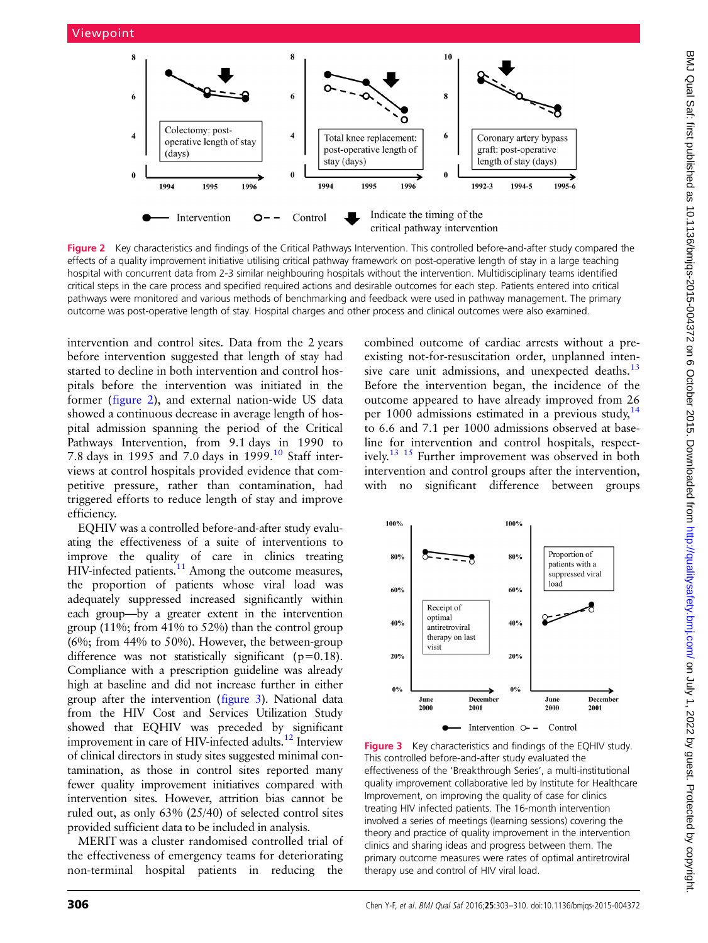

Figure 2 Key characteristics and findings of the Critical Pathways Intervention. This controlled before-and-after study compared the effects of a quality improvement initiative utilising critical pathway framework on post-operative length of stay in a large teaching hospital with concurrent data from 2-3 similar neighbouring hospitals without the intervention. Multidisciplinary teams identified critical steps in the care process and specified required actions and desirable outcomes for each step. Patients entered into critical pathways were monitored and various methods of benchmarking and feedback were used in pathway management. The primary outcome was post-operative length of stay. Hospital charges and other process and clinical outcomes were also examined.

intervention and control sites. Data from the 2 years before intervention suggested that length of stay had started to decline in both intervention and control hospitals before the intervention was initiated in the former (figure 2), and external nation-wide US data showed a continuous decrease in average length of hospital admission spanning the period of the Critical Pathways Intervention, from 9.1 days in 1990 to 7.8 days in 1995 and 7.0 days in 1999.[10](#page-6-0) Staff interviews at control hospitals provided evidence that competitive pressure, rather than contamination, had triggered efforts to reduce length of stay and improve efficiency.

EQHIV was a controlled before-and-after study evaluating the effectiveness of a suite of interventions to improve the quality of care in clinics treating HIV-infected patients.<sup>11</sup> Among the outcome measures, the proportion of patients whose viral load was adequately suppressed increased significantly within each group—by a greater extent in the intervention group (11%; from 41% to 52%) than the control group (6%; from 44% to 50%). However, the between-group difference was not statistically significant ( $p=0.18$ ). Compliance with a prescription guideline was already high at baseline and did not increase further in either group after the intervention (figure 3). National data from the HIV Cost and Services Utilization Study showed that EQHIV was preceded by significant improvement in care of HIV-infected adults.<sup>[12](#page-6-0)</sup> Interview of clinical directors in study sites suggested minimal contamination, as those in control sites reported many fewer quality improvement initiatives compared with intervention sites. However, attrition bias cannot be ruled out, as only 63% (25/40) of selected control sites provided sufficient data to be included in analysis.

MERIT was a cluster randomised controlled trial of the effectiveness of emergency teams for deteriorating non-terminal hospital patients in reducing the

combined outcome of cardiac arrests without a preexisting not-for-resuscitation order, unplanned inten-sive care unit admissions, and unexpected deaths.<sup>[13](#page-6-0)</sup> Before the intervention began, the incidence of the outcome appeared to have already improved from 26 per 1000 admissions estimated in a previous study,<sup>[14](#page-6-0)</sup> to 6.6 and 7.1 per 1000 admissions observed at baseline for intervention and control hospitals, respectively.[13 15](#page-6-0) Further improvement was observed in both intervention and control groups after the intervention, with no significant difference between groups



**Figure 3** Key characteristics and findings of the EQHIV study. This controlled before-and-after study evaluated the effectiveness of the 'Breakthrough Series', a multi-institutional quality improvement collaborative led by Institute for Healthcare Improvement, on improving the quality of case for clinics treating HIV infected patients. The 16-month intervention involved a series of meetings (learning sessions) covering the theory and practice of quality improvement in the intervention clinics and sharing ideas and progress between them. The primary outcome measures were rates of optimal antiretroviral therapy use and control of HIV viral load.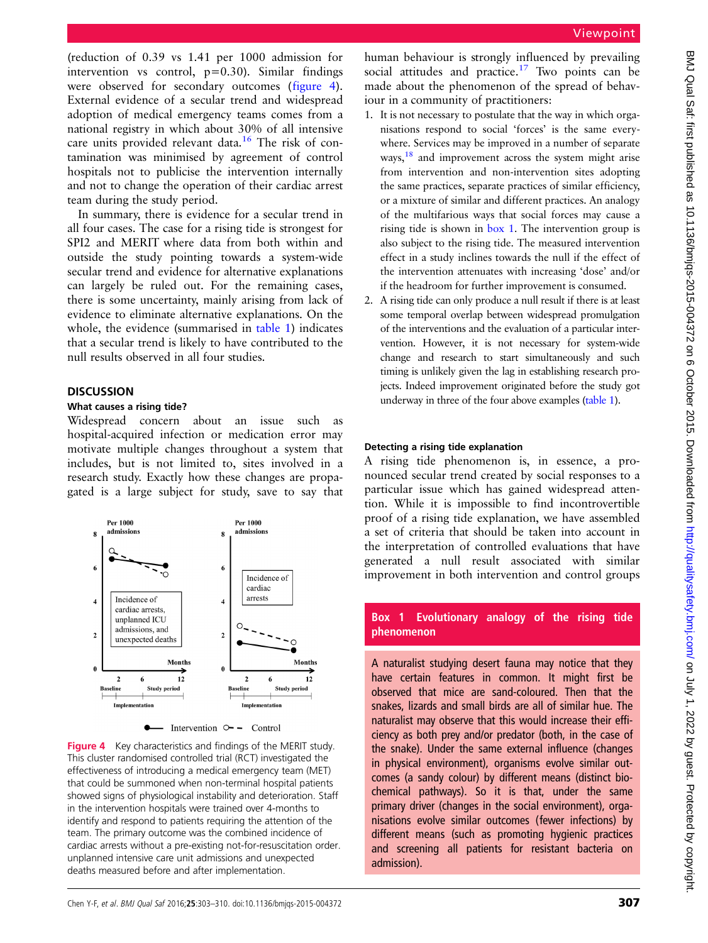(reduction of 0.39 vs 1.41 per 1000 admission for intervention vs control,  $p=0.30$ ). Similar findings were observed for secondary outcomes (figure 4). External evidence of a secular trend and widespread adoption of medical emergency teams comes from a national registry in which about 30% of all intensive care units provided relevant data.<sup>[16](#page-6-0)</sup> The risk of contamination was minimised by agreement of control hospitals not to publicise the intervention internally and not to change the operation of their cardiac arrest team during the study period.

In summary, there is evidence for a secular trend in all four cases. The case for a rising tide is strongest for SPI2 and MERIT where data from both within and outside the study pointing towards a system-wide secular trend and evidence for alternative explanations can largely be ruled out. For the remaining cases, there is some uncertainty, mainly arising from lack of evidence to eliminate alternative explanations. On the whole, the evidence (summarised in [table 1](#page-1-0)) indicates that a secular trend is likely to have contributed to the null results observed in all four studies.

#### **DISCUSSION**

#### What causes a rising tide?

Widespread concern about an issue such as hospital-acquired infection or medication error may motivate multiple changes throughout a system that includes, but is not limited to, sites involved in a research study. Exactly how these changes are propagated is a large subject for study, save to say that



Figure 4 Key characteristics and findings of the MERIT study. This cluster randomised controlled trial (RCT) investigated the effectiveness of introducing a medical emergency team (MET) that could be summoned when non-terminal hospital patients showed signs of physiological instability and deterioration. Staff in the intervention hospitals were trained over 4-months to identify and respond to patients requiring the attention of the team. The primary outcome was the combined incidence of cardiac arrests without a pre-existing not-for-resuscitation order. unplanned intensive care unit admissions and unexpected deaths measured before and after implementation.

human behaviour is strongly influenced by prevailing social attitudes and practice.<sup>17</sup> Two points can be made about the phenomenon of the spread of behaviour in a community of practitioners:

- 1. It is not necessary to postulate that the way in which organisations respond to social 'forces' is the same everywhere. Services may be improved in a number of separate ways,  $\frac{18}{18}$  and improvement across the system might arise from intervention and non-intervention sites adopting the same practices, separate practices of similar efficiency, or a mixture of similar and different practices. An analogy of the multifarious ways that social forces may cause a rising tide is shown in box 1. The intervention group is also subject to the rising tide. The measured intervention effect in a study inclines towards the null if the effect of the intervention attenuates with increasing 'dose' and/or if the headroom for further improvement is consumed.
- 2. A rising tide can only produce a null result if there is at least some temporal overlap between widespread promulgation of the interventions and the evaluation of a particular intervention. However, it is not necessary for system-wide change and research to start simultaneously and such timing is unlikely given the lag in establishing research projects. Indeed improvement originated before the study got underway in three of the four above examples ([table 1](#page-1-0)).

#### Detecting a rising tide explanation

A rising tide phenomenon is, in essence, a pronounced secular trend created by social responses to a particular issue which has gained widespread attention. While it is impossible to find incontrovertible proof of a rising tide explanation, we have assembled a set of criteria that should be taken into account in the interpretation of controlled evaluations that have generated a null result associated with similar improvement in both intervention and control groups

## Box 1 Evolutionary analogy of the rising tide phenomenon

A naturalist studying desert fauna may notice that they have certain features in common. It might first be observed that mice are sand-coloured. Then that the snakes, lizards and small birds are all of similar hue. The naturalist may observe that this would increase their efficiency as both prey and/or predator (both, in the case of the snake). Under the same external influence (changes in physical environment), organisms evolve similar outcomes (a sandy colour) by different means (distinct biochemical pathways). So it is that, under the same primary driver (changes in the social environment), organisations evolve similar outcomes (fewer infections) by different means (such as promoting hygienic practices and screening all patients for resistant bacteria on admission).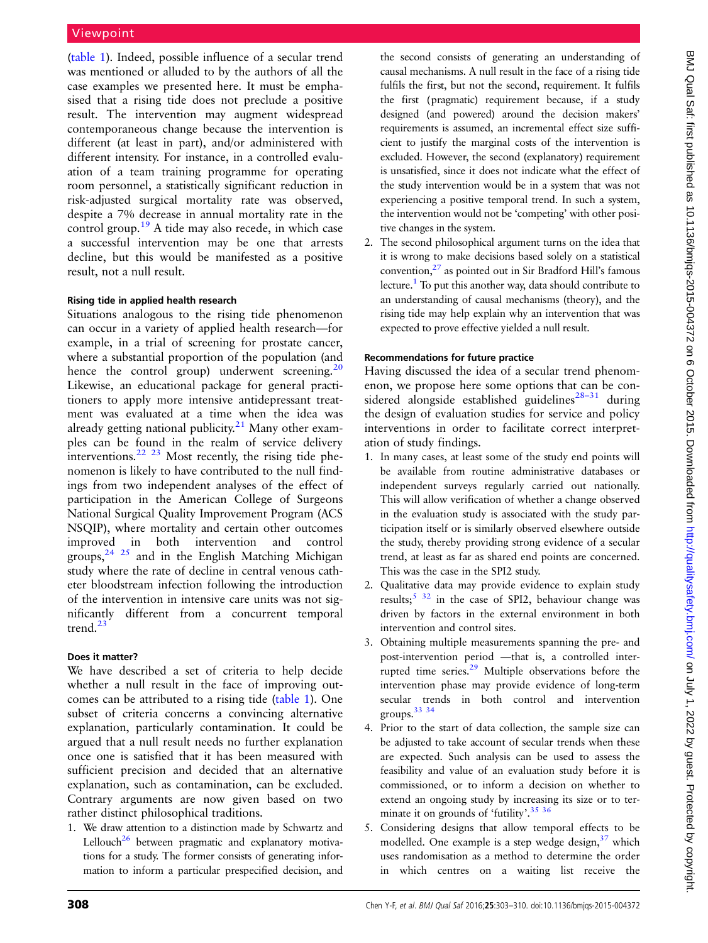([table 1](#page-1-0)). Indeed, possible influence of a secular trend was mentioned or alluded to by the authors of all the case examples we presented here. It must be emphasised that a rising tide does not preclude a positive result. The intervention may augment widespread contemporaneous change because the intervention is different (at least in part), and/or administered with different intensity. For instance, in a controlled evaluation of a team training programme for operating room personnel, a statistically significant reduction in risk-adjusted surgical mortality rate was observed, despite a 7% decrease in annual mortality rate in the control group.<sup>[19](#page-6-0)</sup> A tide may also recede, in which case a successful intervention may be one that arrests decline, but this would be manifested as a positive result, not a null result.

#### Rising tide in applied health research

Situations analogous to the rising tide phenomenon can occur in a variety of applied health research—for example, in a trial of screening for prostate cancer, where a substantial proportion of the population (and hence the control group) underwent screening. $^{20}$  $^{20}$  $^{20}$ Likewise, an educational package for general practitioners to apply more intensive antidepressant treatment was evaluated at a time when the idea was already getting national publicity. $21$  Many other examples can be found in the realm of service delivery interventions.<sup>[22 23](#page-7-0)</sup> Most recently, the rising tide phenomenon is likely to have contributed to the null findings from two independent analyses of the effect of participation in the American College of Surgeons National Surgical Quality Improvement Program (ACS NSQIP), where mortality and certain other outcomes improved in both intervention and control groups,  $24$   $25$  and in the English Matching Michigan study where the rate of decline in central venous catheter bloodstream infection following the introduction of the intervention in intensive care units was not significantly different from a concurrent temporal trend. $^{23}$  $^{23}$  $^{23}$ 

#### Does it matter?

We have described a set of criteria to help decide whether a null result in the face of improving outcomes can be attributed to a rising tide ([table 1](#page-1-0)). One subset of criteria concerns a convincing alternative explanation, particularly contamination. It could be argued that a null result needs no further explanation once one is satisfied that it has been measured with sufficient precision and decided that an alternative explanation, such as contamination, can be excluded. Contrary arguments are now given based on two rather distinct philosophical traditions.

1. We draw attention to a distinction made by Schwartz and Lellouch<sup>26</sup> between pragmatic and explanatory motivations for a study. The former consists of generating information to inform a particular prespecified decision, and

the second consists of generating an understanding of causal mechanisms. A null result in the face of a rising tide fulfils the first, but not the second, requirement. It fulfils the first (pragmatic) requirement because, if a study designed (and powered) around the decision makers' requirements is assumed, an incremental effect size sufficient to justify the marginal costs of the intervention is excluded. However, the second (explanatory) requirement is unsatisfied, since it does not indicate what the effect of the study intervention would be in a system that was not experiencing a positive temporal trend. In such a system, the intervention would not be 'competing' with other positive changes in the system.

2. The second philosophical argument turns on the idea that it is wrong to make decisions based solely on a statistical convention[,27](#page-7-0) as pointed out in Sir Bradford Hill's famous lecture[.1](#page-6-0) To put this another way, data should contribute to an understanding of causal mechanisms (theory), and the rising tide may help explain why an intervention that was expected to prove effective yielded a null result.

#### Recommendations for future practice

Having discussed the idea of a secular trend phenomenon, we propose here some options that can be con-sidered alongside established guidelines<sup>[28](#page-7-0)–31</sup> during the design of evaluation studies for service and policy interventions in order to facilitate correct interpretation of study findings.

- 1. In many cases, at least some of the study end points will be available from routine administrative databases or independent surveys regularly carried out nationally. This will allow verification of whether a change observed in the evaluation study is associated with the study participation itself or is similarly observed elsewhere outside the study, thereby providing strong evidence of a secular trend, at least as far as shared end points are concerned. This was the case in the SPI2 study.
- 2. Qualitative data may provide evidence to explain study results;<sup>[5](#page-6-0) [32](#page-7-0)</sup> in the case of SPI2, behaviour change was driven by factors in the external environment in both intervention and control sites.
- 3. Obtaining multiple measurements spanning the pre- and post-intervention period —that is, a controlled interrupted time series.[29](#page-7-0) Multiple observations before the intervention phase may provide evidence of long-term secular trends in both control and intervention groups[.33 34](#page-7-0)
- 4. Prior to the start of data collection, the sample size can be adjusted to take account of secular trends when these are expected. Such analysis can be used to assess the feasibility and value of an evaluation study before it is commissioned, or to inform a decision on whether to extend an ongoing study by increasing its size or to ter-minate it on grounds of 'futility'.<sup>[35 36](#page-7-0)</sup>
- 5. Considering designs that allow temporal effects to be modelled. One example is a step wedge design, $37$  which uses randomisation as a method to determine the order in which centres on a waiting list receive the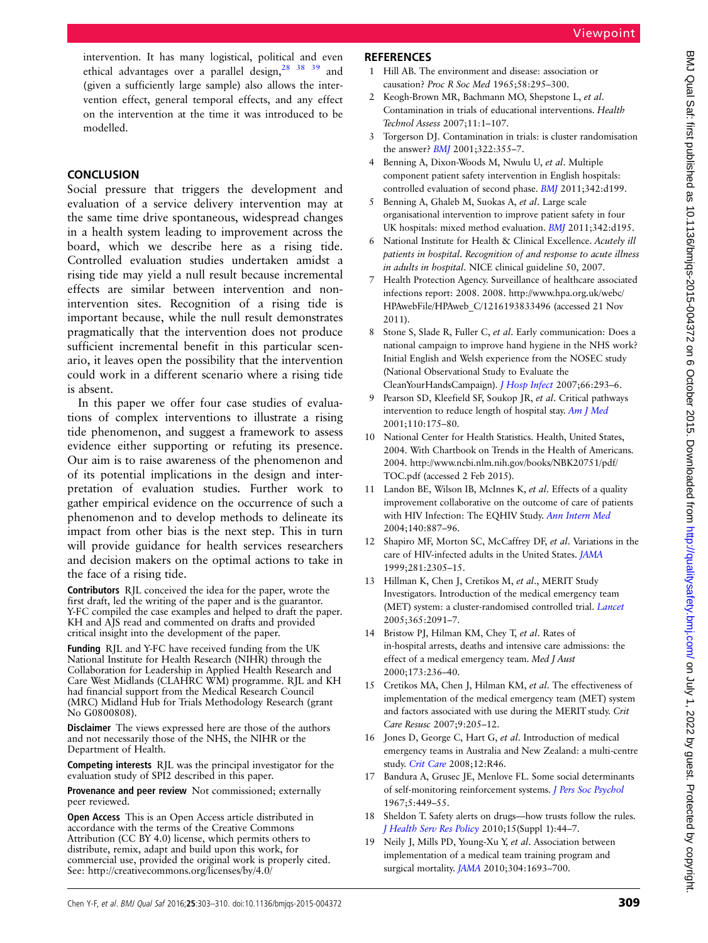<span id="page-6-0"></span>intervention. It has many logistical, political and even ethical advantages over a parallel design,<sup>[28 38 39](#page-7-0)</sup> and (given a sufficiently large sample) also allows the intervention effect, general temporal effects, and any effect on the intervention at the time it was introduced to be modelled.

# **CONCLUSION**

Social pressure that triggers the development and evaluation of a service delivery intervention may at the same time drive spontaneous, widespread changes in a health system leading to improvement across the board, which we describe here as a rising tide. Controlled evaluation studies undertaken amidst a rising tide may yield a null result because incremental effects are similar between intervention and nonintervention sites. Recognition of a rising tide is important because, while the null result demonstrates pragmatically that the intervention does not produce sufficient incremental benefit in this particular scenario, it leaves open the possibility that the intervention could work in a different scenario where a rising tide is absent.

In this paper we offer four case studies of evaluations of complex interventions to illustrate a rising tide phenomenon, and suggest a framework to assess evidence either supporting or refuting its presence. Our aim is to raise awareness of the phenomenon and of its potential implications in the design and interpretation of evaluation studies. Further work to gather empirical evidence on the occurrence of such a phenomenon and to develop methods to delineate its impact from other bias is the next step. This in turn will provide guidance for health services researchers and decision makers on the optimal actions to take in the face of a rising tide.

Contributors RJL conceived the idea for the paper, wrote the first draft, led the writing of the paper and is the guarantor. Y-FC compiled the case examples and helped to draft the paper. KH and AJS read and commented on drafts and provided critical insight into the development of the paper.

Funding RJL and Y-FC have received funding from the UK National Institute for Health Research (NIHR) through the Collaboration for Leadership in Applied Health Research and Care West Midlands (CLAHRC WM) programme. RJL and KH had financial support from the Medical Research Council (MRC) Midland Hub for Trials Methodology Research (grant No G0800808).

Disclaimer The views expressed here are those of the authors and not necessarily those of the NHS, the NIHR or the Department of Health.

Competing interests RJL was the principal investigator for the evaluation study of SPI2 described in this paper.

Provenance and peer review Not commissioned; externally peer reviewed.

Open Access This is an Open Access article distributed in accordance with the terms of the Creative Commons Attribution (CC BY 4.0) license, which permits others to distribute, remix, adapt and build upon this work, for commercial use, provided the original work is properly cited. See:<http://creativecommons.org/licenses/by/4.0/>

# **REFERENCES**

- 1 Hill AB. The environment and disease: association or causation? Proc R Soc Med 1965;58:295–300.
- 2 Keogh-Brown MR, Bachmann MO, Shepstone L, et al. Contamination in trials of educational interventions. Health Technol Assess 2007;11:1–107.
- 3 Torgerson DJ. Contamination in trials: is cluster randomisation the answer? [BMJ](http://dx.doi.org/10.1136/bmj.322.7282.355) 2001;322:355–7.
- 4 Benning A, Dixon-Woods M, Nwulu U, et al. Multiple component patient safety intervention in English hospitals: controlled evaluation of second phase. [BMJ](http://dx.doi.org/10.1136/bmj.d199) 2011;342:d199.
- 5 Benning A, Ghaleb M, Suokas A, et al. Large scale organisational intervention to improve patient safety in four UK hospitals: mixed method evaluation. [BMJ](http://dx.doi.org/10.1136/bmj.d195) 2011;342:d195.
- 6 National Institute for Health & Clinical Excellence. Acutely ill patients in hospital. Recognition of and response to acute illness in adults in hospital. NICE clinical guideline 50, 2007.
- 7 Health Protection Agency. Surveillance of healthcare associated infections report: 2008. 2008. [http://www.hpa.org.uk/webc/](http://www.hpa.org.uk/webc/HPAwebFile/HPAweb_C/1216193833496) [HPAwebFile/HPAweb\\_C/1216193833496](http://www.hpa.org.uk/webc/HPAwebFile/HPAweb_C/1216193833496) (accessed 21 Nov 2011).
- 8 Stone S, Slade R, Fuller C, et al. Early communication: Does a national campaign to improve hand hygiene in the NHS work? Initial English and Welsh experience from the NOSEC study (National Observational Study to Evaluate the CleanYourHandsCampaign). [J Hosp Infect](http://dx.doi.org/10.1016/j.jhin.2007.04.011) 2007;66:293–6.
- Pearson SD, Kleefield SF, Soukop JR, et al. Critical pathways intervention to reduce length of hospital stay. [Am J Med](http://dx.doi.org/10.1016/S0002-9343(00)00705-1) 2001;110:175–80.
- 10 National Center for Health Statistics. Health, United States, 2004. With Chartbook on Trends in the Health of Americans. 2004. [http://www.ncbi.nlm.nih.gov/books/NBK20751/pdf/](http://www.ncbi.nlm.nih.gov/books/NBK20751/pdf/TOC.pdf) [TOC.pdf](http://www.ncbi.nlm.nih.gov/books/NBK20751/pdf/TOC.pdf) (accessed 2 Feb 2015).
- 11 Landon BE, Wilson IB, McInnes K, et al. Effects of a quality improvement collaborative on the outcome of care of patients with HIV Infection: The EQHIV Study. [Ann Intern Med](http://dx.doi.org/10.7326/0003-4819-140-11-200406010-00010) 2004;140:887–96.
- 12 Shapiro MF, Morton SC, McCaffrey DF, et al. Variations in the care of HIV-infected adults in the United States. [JAMA](http://dx.doi.org/10.1001/jama.281.24.2305) 1999;281:2305–15.
- 13 Hillman K, Chen J, Cretikos M, et al., MERIT Study Investigators. Introduction of the medical emergency team (MET) system: a cluster-randomised controlled trial. *[Lancet](http://dx.doi.org/10.1016/S0140-6736(05)66733-5)* 2005;365:2091–7.
- 14 Bristow PJ, Hilman KM, Chey T, et al. Rates of in-hospital arrests, deaths and intensive care admissions: the effect of a medical emergency team. Med J Aust 2000;173:236–40.
- 15 Cretikos MA, Chen J, Hilman KM, et al. The effectiveness of implementation of the medical emergency team (MET) system and factors associated with use during the MERIT study. Crit Care Resusc 2007;9:205–12.
- 16 Jones D, George C, Hart G, et al. Introduction of medical emergency teams in Australia and New Zealand: a multi-centre study. [Crit Care](http://dx.doi.org/10.1186/cc6857) 2008;12:R46.
- 17 Bandura A, Grusec JE, Menlove FL. Some social determinants of self-monitoring reinforcement systems. [J Pers Soc Psychol](http://dx.doi.org/10.1037/h0024392) 1967;5:449–55.
- 18 Sheldon T. Safety alerts on drugs—how trusts follow the rules. [J Health Serv Res Policy](http://dx.doi.org/10.1258/jhsrp.2009.09s104) 2010;15(Suppl 1):44–7.
- 19 Neily J, Mills PD, Young-Xu Y, et al. Association between implementation of a medical team training program and surgical mortality. **[JAMA](http://dx.doi.org/10.1001/jama.2010.1506)** 2010;304:1693-700.